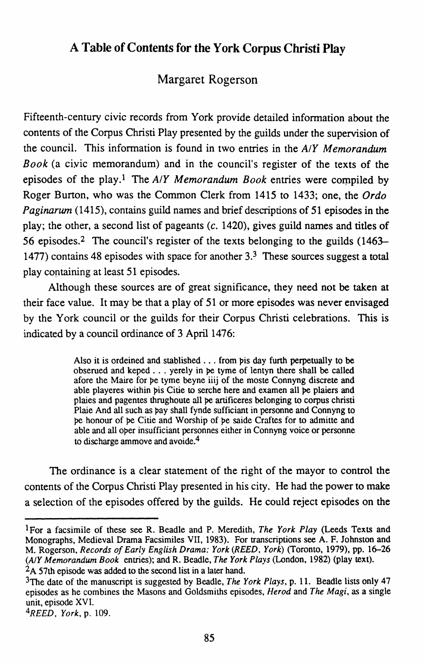## **A Table of Contents for the York Corpus Christi Play**

## Margaret Rogerson

Fifteenth-century civic records from York provide detailed information about the contents of the Corpus Christi Play presented by the guilds under the supervision of the council. This information is found in two entries in the *AIY Memorandum Book* (a ciyic memorandum) and in the council's register of the texts of the episodes of the play.<sup>1</sup> The *A/Y Memorandum Book* entries were compiled by Roger Burton, who was the Common Clerk from 1415 to 1433; one, the *Ordo Paginarum* (1415), contains guild names and brief descriptions of 51 episodes in the play; the other, a second list of pageants (c. 1420), gives guild names and titles of 56 episodes.2 The council's register of the texts belonging to the guilds (1463- 1477) contains 48 episodes with space for another 3.3 These sources suggest a total play containing at least 51 episodes.

Although these sources are of great significance, they need not be taken at their face value. It may be that a play of 51 or more episodes was never envisaged by the York council or the guilds for their Corpus Christi celebrations. This is indicated by a council ordinance of 3 April 1476:

> Also it is ordeined and stablished  $\ldots$  from pis day furth perpetually to be obserued and keped . . . yerely in pe tyme of lentyn there shall be called afore the Maire for pe tyme beyne iiij of the moste Connyng discrete and able playeres within bis Citie to serche here and examen all be plaiers and plaies and pagentes thrughoute all be artificeres belonging to corpus christi Plaie And all such as pay shall fynde sufficiant in personne and Connyng to be honour of be Citie and Worship of be saide Craftes for to admitte and able and all oper insufficiant personnes either in Connyng voice or personne to discharge ammove and avoide.4

The ordinance is a clear statement of the right of the mayor to control the contents of the Corpus Christi Play presented in his city. He had the power to make a selection of the episodes offered by the guilds. He could reject episodes on the

lFor a facsimile of these seeR. Beadle and P. Meredith, *The York Play* (Leeds Texts and Monographs, Medieval Drama Facsimiles VII, 1983). For transcriptions see A. F. Johnston and M. Rogerson, *Records of Early English Drama: York (REED. York)* (Toronto, 1979), pp. 16-26 *(A!Y Memorandum Book* entries); and R. Beadle, *The York Plays* (London, 1982) (play text).

<sup>&</sup>lt;sup>2</sup>A 57th episode was added to the second list in a later hand.

<sup>3</sup>The date of the manuscript is suggested by Beadle, *The York Plays,* p. 11. Beadle lists only 47 episodes as he combines the Masons and Goldsmiths episodes, *Herod* and *The Magi,* as a single unit, episode XVI.

*<sup>4</sup>REED, York,* p. 109.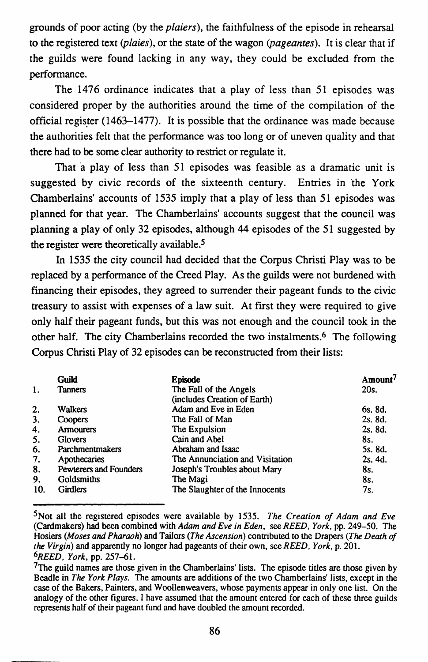grounds of poor acting (by the *plaiers*), the faithfulness of the episode in rehearsal to the registered text (plaies), or the state of the wagon (pageantes). It is clear that if the guilds were found lacking in any way, they could be excluded from the performance.

The 1476 ordinance indicates that a play of less than 51 episodes was considered proper by the authorities around the time of the compilation of the official register (1463-1477). It is possible that the ordinance was made because the authorities felt that the performance was too long or of uneven quality and that there had to be some clear authority to restrict or regulate it.

That a play of less than 51 episodes was feasible as a dramatic unit is suggested by civic records of the sixteenth century. Entries in the York Chamberlains' accounts of 1535 imply that a play of less than 51 episodes was planned for that year. The Chamberlains' accounts suggest that the council was planning a play of only 32 episodes, although 44 episodes of the 51 suggested by the register were theoretically available.<sup>5</sup>

In 1535 the city council had decided that the Corpus Christi Play was to be replaced by a performance of the Creed Play. As the guilds were not burdened with financing their episodes, they agreed to surrender their pageant funds to the civic treasury to assist with expenses of a law suit. At first they were required to give only half their pageant funds, but this was not enough and the council took in the other half. The city Chamberlains recorded the two instalments.6 The following Corpus Christi Play of 32 episodes can be reconstructed from their lists:

|     | Guild                  | <b>Episode</b>                  | Amount <sup>7</sup> |
|-----|------------------------|---------------------------------|---------------------|
| 1.  | <b>Tanners</b>         | The Fall of the Angels          | 20s.                |
|     |                        | (includes Creation of Earth)    |                     |
| 2.  | <b>Walkers</b>         | Adam and Eve in Eden            | 6s. 8d.             |
| 3.  | Coopers                | The Fall of Man                 | 2s. 8d.             |
| 4.  | <b>Armourers</b>       | The Expulsion                   | 2s. 8d.             |
| 5.  | <b>Glovers</b>         | Cain and Abel                   | 8s.                 |
| 6.  | Parchmentmakers        | Abraham and Isaac               | 5s. 8d.             |
| 7.  | Apothecaries           | The Annunciation and Visitation | 2s. 4d.             |
| 8.  | Pewterers and Founders | Joseph's Troubles about Mary    | 8s.                 |
| 9.  | Goldsmiths             | The Magi                        | 8s.                 |
| 10. | <b>Girdlers</b>        | The Slaughter of the Innocents  | 7s.                 |

<sup>5</sup>Not all the registered episodes were available by 1535. *The Creation of Adam and Eve*  (Cardmakers) had been combined with *Adam and Eve in Eden,* see *REED, York,* pp. 249-50. The Hosiers *(Moses and Pharaoh)* and Tailors *(The Ascension)* contributed to the Drapers *(The Death of the Virgin)* and apparently no longer had pageants of their own, see *REED, York,* p. 201. *6REED, York,* pp. 257~1.

 $7$ The guild names are those given in the Chamberlains' lists. The episode titles are those given by Beadle in *The York Plays.* The amounts are additions of the two Chamberlains' lists, except in the case of the Bakers, Painters, and Woollenweavers, whose payments appear in only one list. On the analogy of the other figures, I have assumed that the amount entered for each of these three guilds represents half of their pageant fund and have doubled the amount recorded.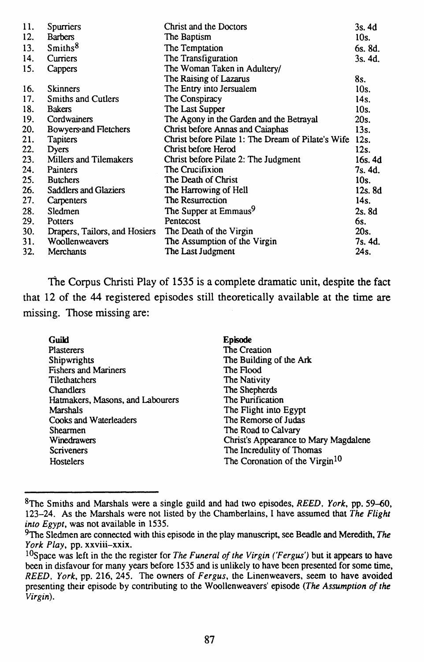| 11. | Spurriers                     | Christ and the Doctors                             | 3s. 4d  |
|-----|-------------------------------|----------------------------------------------------|---------|
| 12. | <b>Barbers</b>                | The Baptism                                        | 10s.    |
| 13. | Smiths <sup>8</sup>           | The Temptation                                     | 6s. 8d. |
| 14. | Curriers                      | The Transfiguration                                | 3s. 4d. |
| 15. | Cappers                       | The Woman Taken in Adultery/                       |         |
|     |                               | The Raising of Lazarus                             | 8s.     |
| 16. | <b>Skinners</b>               | The Entry into Jersualem                           | 10s.    |
| 17. | Smiths and Cutlers            | The Conspiracy                                     | 14s.    |
| 18. | <b>Bakers</b>                 | The Last Supper                                    | 10s.    |
| 19. | Cordwainers                   | The Agony in the Garden and the Betrayal           | 20s.    |
| 20. | Bowyers and Fletchers         | Christ before Annas and Caiaphas                   | 13s.    |
| 21. | <b>Tapiters</b>               | Christ before Pilate 1: The Dream of Pilate's Wife | 12s.    |
| 22. | Dyers                         | Christ before Herod                                | 12s.    |
| 23. | Millers and Tilemakers        | Christ before Pilate 2: The Judgment               | 16s. 4d |
| 24. | Painters                      | The Crucifixion                                    | 7s. 4d. |
| 25. | <b>Butchers</b>               | The Death of Christ                                | 10s.    |
| 26. | Saddlers and Glaziers         | The Harrowing of Hell                              | 12s. 8d |
| 27. | Carpenters                    | The Resurrection                                   | 14s.    |
| 28. | Sledmen                       | The Supper at Emmaus <sup>9</sup>                  | 2s.8d   |
| 29. | Potters                       | Pentecost                                          | 6s.     |
| 30. | Drapers, Tailors, and Hosiers | The Death of the Virgin                            | 20s.    |
| 31. | Woollenweavers                | The Assumption of the Virgin                       | 7s. 4d. |
| 32. | Merchants                     | The Last Judgment                                  | 24s.    |

The Corpus Christi Play of 1535 is a complete dramatic unit, despite the fact that 12 of the 44 registered episodes still theoretically available at the time are missing. Those missing are:

| Guild                            | <b>Episode</b>                             |
|----------------------------------|--------------------------------------------|
| <b>Plasterers</b>                | The Creation                               |
| Shipwrights                      | The Building of the Ark                    |
| <b>Fishers and Mariners</b>      | The Flood                                  |
| Tilethatchers                    | The Nativity                               |
| <b>Chandlers</b>                 | The Shepherds                              |
| Hatmakers, Masons, and Labourers | The Purification                           |
| Marshals                         | The Flight into Egypt                      |
| Cooks and Waterleaders           | The Remorse of Judas                       |
| <b>Shearmen</b>                  | The Road to Calvary                        |
| Winedrawers                      | Christ's Appearance to Mary Magdalene      |
| <b>Scriveners</b>                | The Incredulity of Thomas                  |
| Hostelers                        | The Coronation of the Virgin <sup>10</sup> |

<sup>8</sup>The Smiths and Marshals were a single guild and had two episodes, *REED, York,* pp. 59--60, 123-24. As the Marshals were not listed by the Chamberlains, I have assumed that *The Flight into Egypt,* was not available in 1535.

<sup>9</sup>The Sledmen are connected with this episode in the play manuscript, see Beadle and Meredith, *The York Play,* pp. xxviii-xxix.

<sup>&</sup>lt;sup>10</sup>Space was left in the the register for *The Funeral of the Virgin ('Fergus')* but it appears to have been in disfavour for many years before 1535 and is unlikely to have been presented for some time, *REED, York,* pp. 216, 245. The owners of *Fergus,* the Linenweavers, seem to have avoided presenting their episode by contributing to the Woollenweavers' episode *(The Assumption of the Virgin).*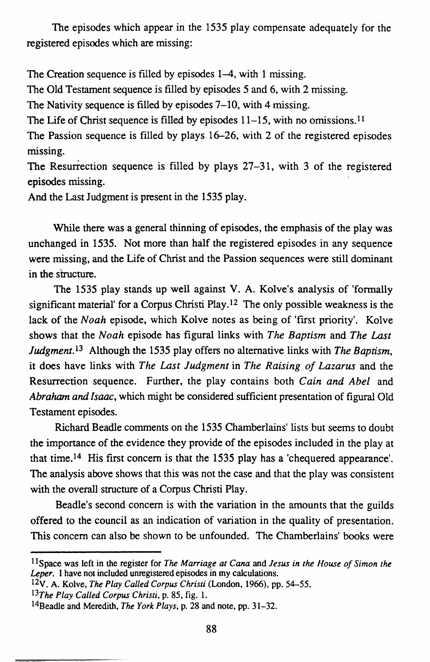The episodes which appear in the 1535 play compensate adequately for the registered episodes which are missing:

The Creation sequence is filled by episodes 1–4, with 1 missing.

The Old Testament sequence is filled by episodes 5 and 6, with 2 missing.

The Nativity sequence is filled by episodes 7–10, with 4 missing.

The Life of Christ sequence is filled by episodes  $11-15$ , with no omissions.<sup>11</sup>

The Passion sequence is filled by plays 16-26, with 2 of the registered episodes missing.

The Resurrection sequence is filled by plays 27-31, with 3 of the registered episodes missing.

And the Last Judgment is present in the 1535 play.

While there was a general thinning of episodes, the emphasis of the play was unchanged in 1535. Not more than half the registered episodes in any sequence were missing, and the Life of Christ and the Passion sequences were still dominant in the structure.

The 1535 play stands up well against V. A. Kolve's analysis of 'formally significant material' for a Corpus Christi Play.<sup>12</sup> The only possible weakness is the lack of the *Noah* episode, which Kolve notes as being of 'first priority'. Kolve shows that the *Noah* episode has figural links with *The Baptism* and *The Last Judgment.!3* Although the 1535 play offers no alternative links with *The Baptism,*  it does have links with *The Last Judgment* in *The Raising of Lazarus* and the Resurrection sequence. Further, the play contains both *Cain and Abel* and *Abraham and Isaac,* which might be considered sufficient presentation of figural Old Testament episodes.

Richard Beadle comments on the 1535 Chamberlains' lists but seems to doubt the importance of the evidence they provide of the episodes included in the play at that time.I4 His first concern is that the 1535 play has a 'chequered appearance'. The analysis above shows that this was not the case and that the play was consistent with the overall structure of a Corpus Christi Play.

Beadle's second concern is with the variation in the amounts that the guilds offered to the council as an indication of variation in the quality of presentation. This concern can also be shown to be unfounded. The Chamberlains' books were

<sup>&</sup>lt;sup>11</sup> Space was left in the register for *The Marriage at Cana* and *Jesus in the House of Simon the Leper.* I have not included unregistered episodes in my calculations.

I2v. A. Kolve, *The Play Called Corpus Christi* (London, 1966), pp. 54-55.

*<sup>13</sup>The Play Called Corpus Christi,* p. 85, fig. I.

<sup>14</sup>Beadle and Meredith, *The York Plays,* p. 28 and note, pp. 31-32.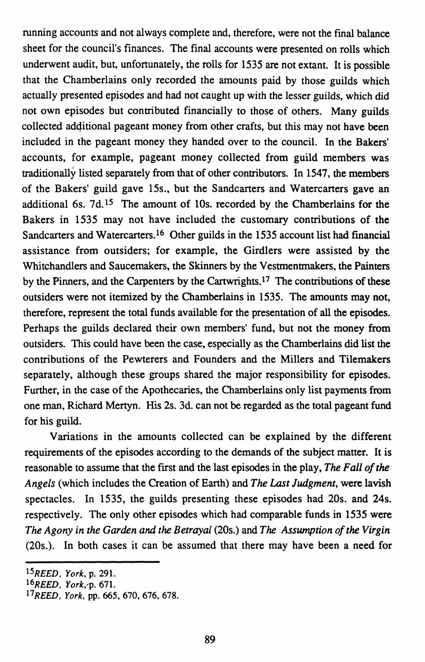running accounts and not always complete and, therefore, were not the fmal balance sheet for the council's finances. The final accounts were presented on rolls which underwent audit, but, unfortunately, the rolls for 1535 are not extant. It is possible that the Chamberlains only recorded the amounts paid by those guilds which actually presented episodes and had not caught up with the lesser guilds, which did not own episodes but contributed fmancially to those of others. Many guilds collected additional pageant money from other crafts, but this may not have been included in the pageant money they handed over to the council. In the Bakers' accounts, for example, pageant money collected from guild members was traditionally listed separately from that of other contributors. In 1547, the members of the Bakers' guild gave 15s., but the Sandcarters and Watercaners gave an additional 6s.  $7d<sup>15</sup>$ . The amount of 10s. recorded by the Chamberlains for the Bakers in 1535 may not have included the customary contributions of the Sandcarters and Watercarters.<sup>16</sup> Other guilds in the 1535 account list had financial assistance from outsiders; for example, the Girdlers were assisted by the Whitchandlers and Saucemakers, the Skinners by the Vestmentmakers, the Painters by the Pinners, and the Carpenters by the Cartwrights.17 The contributions of these outsiders were not itemized by the Chamberlains in 1535. The amounts may not, therefore, represent the total funds available for the presentation of all the episodes. Perhaps the guilds declared their own members' fund, but not the money from outsiders. This could have been the case, especially as the Chamberlains did list the contributions of the Pewterers and Founders and the Millers and Tilemakers separately, although these groups shared the major responsibility for episodes. Further, in the case of the Apothecaries, the Chamberlains only list payments from one man, Richard Mertyn. His 2s. 3d. can not be regarded as the total pageant fund for his guild.

Variations in the amounts collected can be explained by the different requirements of the episodes according to the demands of the subject matter. It is reasonable to assume that the first and the last episodes in the play, *The Fall of the Angels* (which includes the Creation of Earth) and *The Last Judgment,* were lavish spectacles. In 1535, the guilds presenting these episodes had 20s. and 24s. respectively. The only other episodes which had comparable funds in 1535 were *The Agony in the Garden and the Betrayal* (20s.) and *The Assumption of the Virgin*  (20s.). In both cases it can be assumed that there may have been a need for

*lSREED, York,* p. 291.

*<sup>16</sup>REED, York.-p.* 671.

*<sup>11</sup>REED, York,* pp. 665, 670,676, 678.